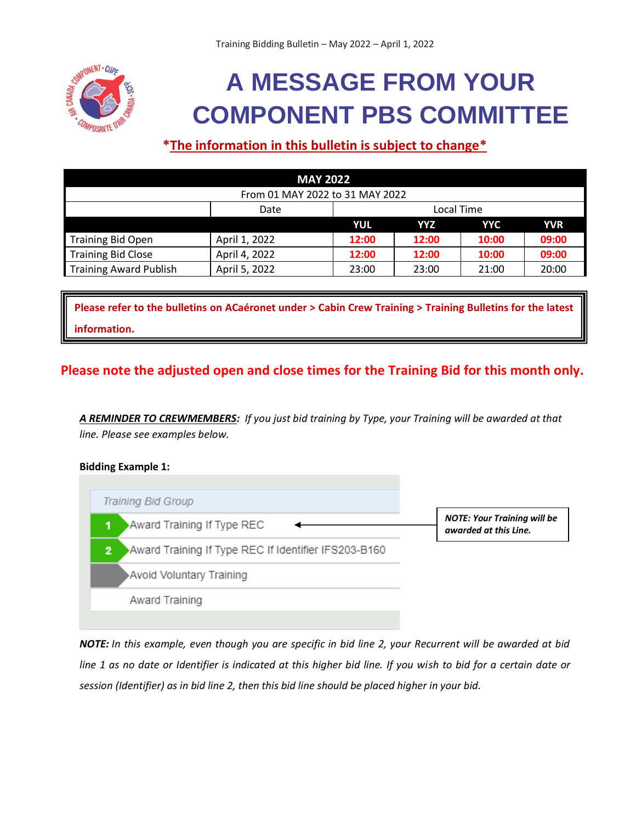

# **A MESSAGE FROM YOUR COMPONENT PBS COMMITTEE**

# **\*The information in this bulletin is subject to change\***

| <b>MAY 2022</b>                 |               |            |       |            |            |
|---------------------------------|---------------|------------|-------|------------|------------|
| From 01 MAY 2022 to 31 MAY 2022 |               |            |       |            |            |
|                                 | Date          | Local Time |       |            |            |
|                                 |               | YUL        | YYZ   | <b>YYC</b> | <b>YVR</b> |
| <b>Training Bid Open</b>        | April 1, 2022 | 12:00      | 12:00 | 10:00      | 09:00      |
| <b>Training Bid Close</b>       | April 4, 2022 | 12:00      | 12:00 | 10:00      | 09:00      |
| <b>Training Award Publish</b>   | April 5, 2022 | 23:00      | 23:00 | 21:00      | 20:00      |

**Please refer to the bulletins on ACaéronet under > Cabin Crew Training > Training Bulletins for the latest information.**

## **Please note the adjusted open and close times for the Training Bid for this month only.**

*A REMINDER TO CREWMEMBERS: If you just bid training by Type, your Training will be awarded at that line. Please see examples below.*

#### **Bidding Example 1:**



*NOTE: In this example, even though you are specific in bid line 2, your Recurrent will be awarded at bid line 1 as no date or Identifier is indicated at this higher bid line. If you wish to bid for a certain date or session (Identifier) as in bid line 2, then this bid line should be placed higher in your bid.*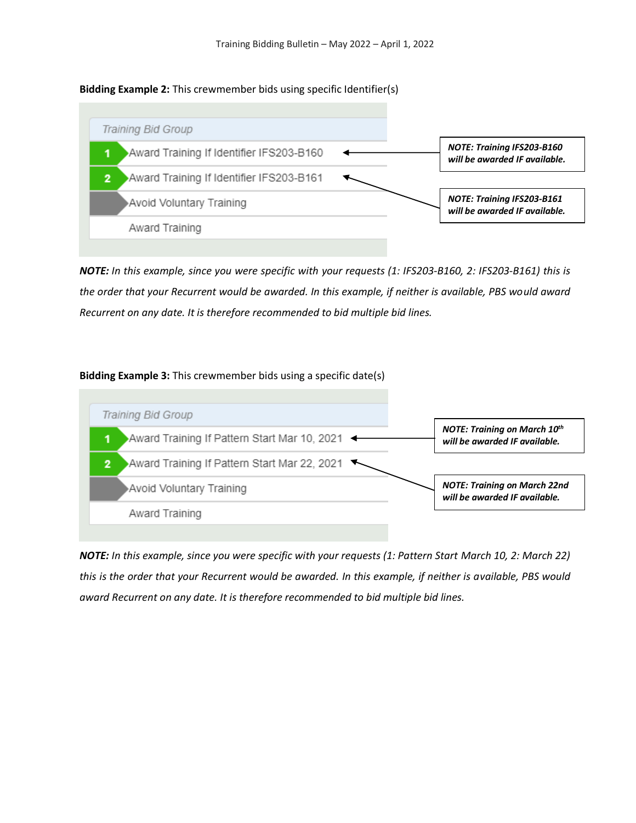#### **Bidding Example 2:** This crewmember bids using specific Identifier(s)



*NOTE: In this example, since you were specific with your requests (1: IFS203-B160, 2: IFS203-B161) this is the order that your Recurrent would be awarded. In this example, if neither is available, PBS would award Recurrent on any date. It is therefore recommended to bid multiple bid lines.*

#### **Bidding Example 3:** This crewmember bids using a specific date(s)



*NOTE: In this example, since you were specific with your requests (1: Pattern Start March 10, 2: March 22) this is the order that your Recurrent would be awarded. In this example, if neither is available, PBS would award Recurrent on any date. It is therefore recommended to bid multiple bid lines.*